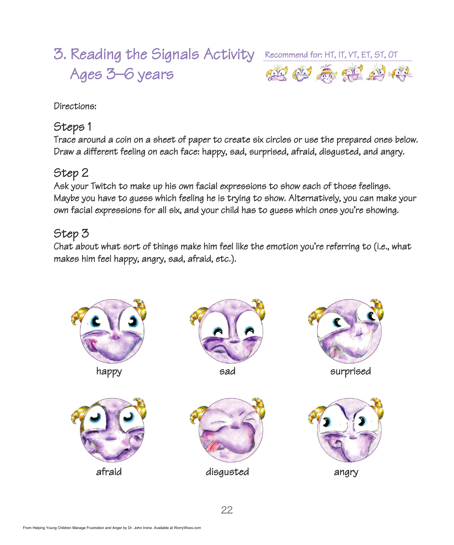# 3. Reading the Signals Activity Recommend for: HT, IT, VT, ET, ST, OT Ages 3–6 years



Directions:

#### Steps 1

Trace around a coin on a sheet of paper to create six circles or use the prepared ones below. Draw a different feeling on each face: happy, sad, surprised, afraid, disgusted, and angry.

### Step 2

Ask your Twitch to make up his own facial expressions to show each of those feelings. Maybe you have to guess which feeling he is trying to show. Alternatively, you can make your own facial expressions for all six, and your child has to guess which ones you're showing.

# Step 3

Chat about what sort of things make him feel like the emotion you're referring to (i.e., what makes him feel happy, angry, sad, afraid, etc.).